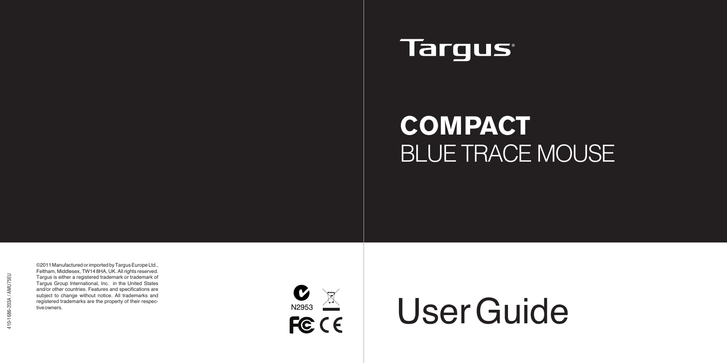## **Targus**

# **COMPACT** BLUE TRACE MOUSE

©2011 Manufactured or imported by Targus Europe Ltd., Feltham, Middlesex, TW14 8HA, UK. All rights reserved. Targus is either a registered trademark or trademark of Targus Group International, Inc. in the United States and/or other countries. Features and specifications are subject to change without notice. All trademarks and registered trademarks are the property of their respective owners.



# $\frac{C}{\sqrt{2}}$  User Guide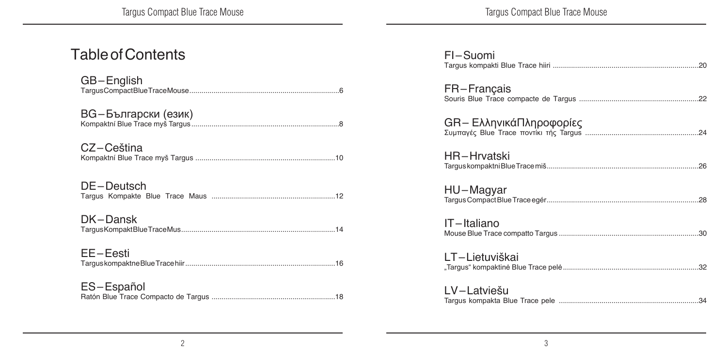| FI-Suomi                |  |
|-------------------------|--|
| FR-Francais             |  |
| GR– ΕλληνικάΠληροφορίες |  |
| HR-Hrvatski             |  |
| HU–Magyar               |  |
| IT-Italiano             |  |
| LT-Lietuviškai          |  |
| LV-Latviešu             |  |

### Table of Contents

| GB-English          |
|---------------------|
| ВG-Български (език) |
| CZ-Ceština          |
| DE-Deutsch          |
| DK-Dansk            |
| EE-Eesti            |
| ES-Español          |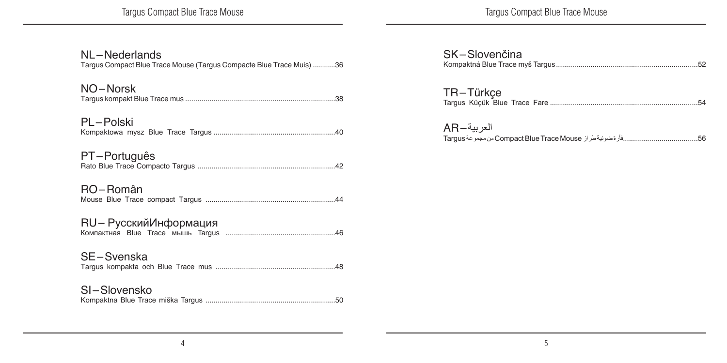Targus Compact Blue Trace Mouse

Targus Compact Blue Trace Mouse

| NL-Nederlands<br>Targus Compact Blue Trace Mouse (Targus Compacte Blue Trace Muis) 36 |
|---------------------------------------------------------------------------------------|
| NO-Norsk                                                                              |
| PL-Polski                                                                             |
| PT-Português                                                                          |
| RO-Român                                                                              |
| RU- РусскийИнформация                                                                 |
| SE-Svenska                                                                            |
| SI-Slovensko                                                                          |

| SK-Slovenčina |  |
|---------------|--|
| TR-Türkçe     |  |

| العربية—AR |  |
|------------|--|
|            |  |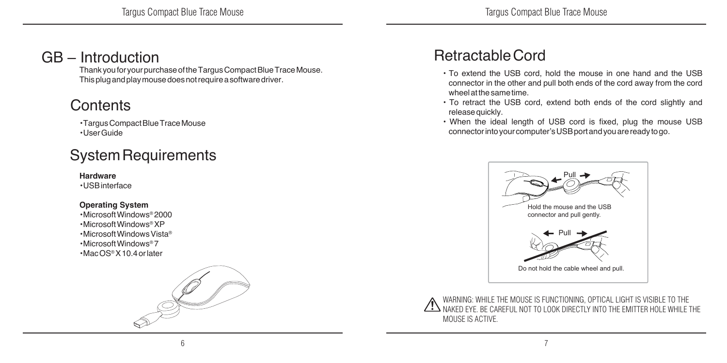### GB – Introduction

Thank you for your purchase of the Targus Compact Blue Trace Mouse. This plug and play mouse does not require a software driver.

### **Contents**

• Targus Compact Blue Trace Mouse • User Guide

### System Requirements

#### **Hardware**

• USB interface

#### **Operating System**

• Microsoft Windows® 2000 • Microsoft Windows® XP • Microsoft Windows Vista® • Microsoft Windows® 7 • Mac OS® X 10.4 or later



### Retractable Cord

- To extend the USB cord, hold the mouse in one hand and the USB connector in the other and pull both ends of the cord away from the cord wheel at the same time.
- To retract the USB cord, extend both ends of the cord slightly and release quickly.
- When the ideal length of USB cord is fixed, plug the mouse USB connector into your computer's USB port and you are ready to go.



WARNING: WHILE THE MOUSE IS FUNCTIONING, OPTICAL LIGHT IS VISIBLE TO THE NAKED EYE. BE CAREFUL NOT TO LOOK DIRECTLY INTO THE EMITTER HOLE WHILE THE MOUSE IS ACTIVE.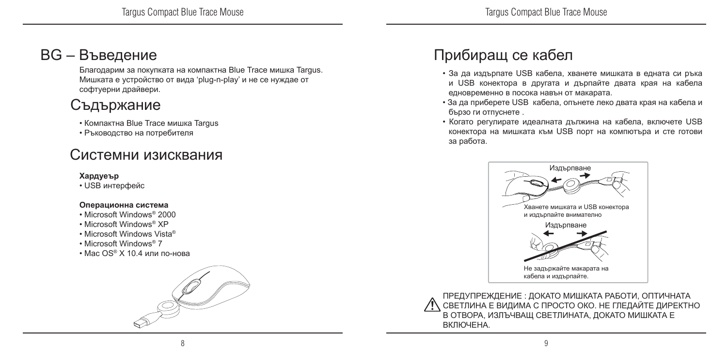### BG – Въведение

Благодарим за покупката на компактна Blue Trace мишка Targus. Мишката е устройство от вида 'plug-n-play' и не се нуждае от софтуерни драйвери.

### Съдържание

- Компактна Blue Trace мишка Targus
- Ръководство на потребителя

### Системни изисквания

#### **Хардуеър**

• USB интерфейс

#### **Операционна система**

- Microsoft Windows® 2000
- Microsoft Windows® XP
- Microsoft Windows Vista®
- Microsoft Windows® 7
- Mac OS® X 10.4 или по-нова



### Прибиращ се кабел

- За да издърпате USB кабела, хванете мишката в едната си ръка и USB конектора в другата и дърпайте двата края на кабела едновременно в посока навън от макарата.
- За да приберете USB кабела, опънете леко двата края на кабела и бързо ги отпуснете .
- Когато регулирате идеалната дължина на кабела, включете USB конектора на мишката към USB порт на компютъра и сте готови за работа.



ПРЕДУПРЕЖДЕНИЕ : ДОКАТО МИШКАТА РАБОТИ, ОПТИЧНАТА СВЕТЛИНА Е ВИДИМА С ПРОСТО ОКО. НЕ ГЛЕДАЙТЕ ДИРЕКТНО В ОТВОРА, ИЗЛЪЧВАЩ СВЕТЛИНАТА, ДОКАТО МИШКАТА Е ВКЛЮЧЕНА.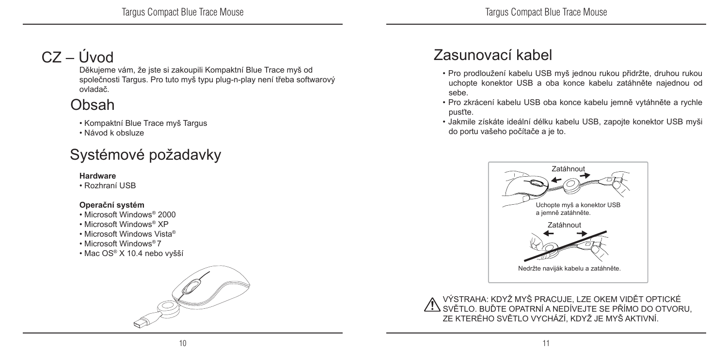### $CZ - I$ Uvod

Děkujeme vám, že jste si zakoupili Kompaktní Blue Trace myš od společnosti Targus. Pro tuto myš typu plug-n-play není třeba softwarový ovladač.

### Obsah

- Kompaktní Blue Trace myš Targus
- Návod k obsluze

### Systémové požadavky

#### **Hardware**

• Rozhraní USB

#### **Operační systém**

- Microsoft Windows® 2000
- Microsoft Windows® XP
- Microsoft Windows Vista®
- Microsoft Windows® 7
- Mac OS® X 10.4 nebo vyšší



### Zasunovací kabel

- Pro prodloužení kabelu USB myš jednou rukou přidržte, druhou rukou uchopte konektor USB a oba konce kabelu zatáhněte najednou od sebe.
- Pro zkrácení kabelu USB oba konce kabelu jemně vytáhněte a rychle pusťte.
- Jakmile získáte ideální délku kabelu USB, zapojte konektor USB myši do portu vašeho počítače a je to.



VÝSTRAHA: KDYŽ MYŠ PRACUJE, LZE OKEM VIDĚT OPTICKÉ SVĚTLO. BUĎTE OPATRNÍ A NEDÍVEJTE SE PŘÍMO DO OTVORU, ZE KTERÉHO SVĚTLO VYCHÁZÍ, KDYŽ JE MYŠ AKTIVNÍ.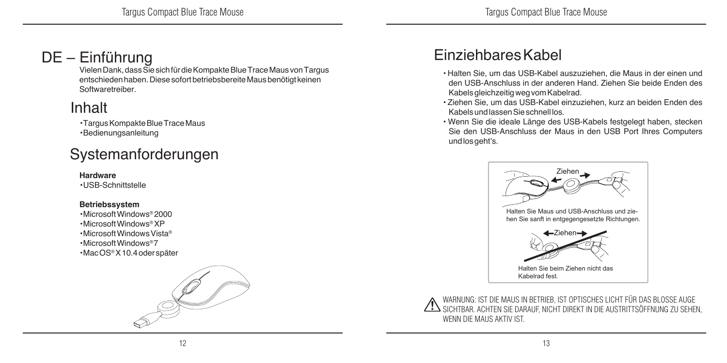### DE – Einführung

Vielen Dank, dass Sie sich für die Kompakte Blue Trace Maus von Targus entschieden haben. Diese sofort betriebsbereite Maus benötigt keinen Softwaretreiber.

### Inhalt

• Targus Kompakte Blue Trace Maus

• Bedienungsanleitung

### Systemanforderungen

#### **Hardware**

• USB-Schnittstelle

#### **Betriebssystem**

• Microsoft Windows® 2000 • Microsoft Windows® XP • Microsoft Windows Vista® • Microsoft Windows® 7 • Mac OS® X 10.4 oder später



### Einziehbares Kabel

- Halten Sie, um das USB-Kabel auszuziehen, die Maus in der einen und den USB-Anschluss in der anderen Hand. Ziehen Sie beide Enden des Kabels gleichzeitig weg vom Kabelrad.
- Ziehen Sie, um das USB-Kabel einzuziehen, kurz an beiden Enden des Kabels und lassen Sie schnell los.
- Wenn Sie die ideale Länge des USB-Kabels festgelegt haben, stecken Sie den USB-Anschluss der Maus in den USB Port Ihres Computers und los geht's.



WARNUNG: IST DIE MAUS IN BETRIEB, IST OPTISCHES LICHT FÜR DAS BLOSSE AUGE SICHTBAR. ACHTEN SIE DARAUF, NICHT DIREKT IN DIE AUSTRITTSÖFFNUNG ZU SEHEN, WENN DIE MAUS AKTIV IST.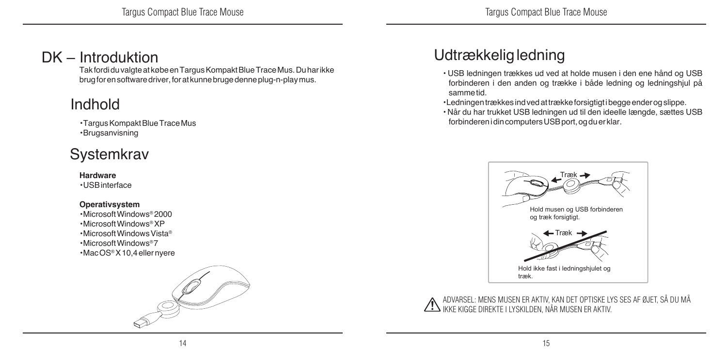### DK – Introduktion

Tak fordi du valgte at købe en Targus Kompakt Blue Trace Mus. Du har ikke brug for en software driver, for at kunne bruge denne plug-n-play mus.

### Indhold

• Targus Kompakt Blue Trace Mus • Brugsanvisning

### **Systemkrav**

#### **Hardware**

• USB interface

#### **Operativsystem**

• Microsoft Windows® 2000 • Microsoft Windows® XP • Microsoft Windows Vista® • Microsoft Windows® 7 • Mac OS® X 10,4 eller nyere



### Udtrækkelig ledning

- USB ledningen trækkes ud ved at holde musen i den ene hånd og USB forbinderen i den anden og trække i både ledning og ledningshjul på samme tid.
- Ledningen trækkes ind ved at trække forsigtigt i begge ender og slippe.
- Når du har trukket USB ledningen ud til den ideelle længde, sættes USB forbinderen i din computers USB port, og du er klar.



ADVARSEL: MENS MUSEN ER AKTIV, KAN DET OPTISKE LYS SES AF ØJET, SÅ DU MÅ IKKE KIGGE DIREKTE I LYSKILDEN, NÅR MUSEN ER AKTIV.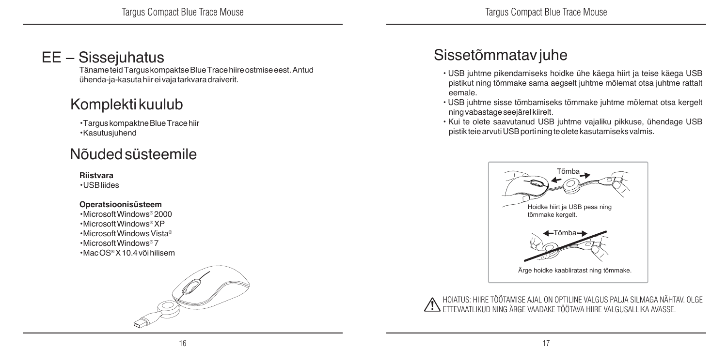### EE – Sissejuhatus

Täname teid Targus kompaktse Blue Trace hiire ostmise eest. Antud ühenda-ja-kasuta hiir ei vaja tarkvara draiverit.

### Komplekti kuulub

• Targus kompaktne Blue Trace hiir • Kasutusjuhend

### Nõuded süsteemile

#### **Riistvara**

• USB liides

#### **Operatsioonisüsteem**

• Microsoft Windows® 2000 • Microsoft Windows® XP • Microsoft Windows Vista® • Microsoft Windows® 7 • Mac OS® X 10.4 või hilisem



### Sissetõmmatav juhe

- USB juhtme pikendamiseks hoidke ühe käega hiirt ja teise käega USB pistikut ning tõmmake sama aegselt juhtme mõlemat otsa juhtme rattalt eemale.
- USB juhtme sisse tõmbamiseks tõmmake juhtme mõlemat otsa kergelt ning vabastage seejärel kiirelt.
- Kui te olete saavutanud USB juhtme vajaliku pikkuse, ühendage USB pistik teie arvuti USB porti ning te olete kasutamiseks valmis.



HOIATUS: HIIRE TÖÖTAMISE AJAL ON OPTILINE VALGUS PALJA SILMAGA NÄHTAV. OLGE ETTEVAATLIKUD NING ÄRGE VAADAKE TÖÖTAVA HIIRE VALGUSALLIKA AVASSE.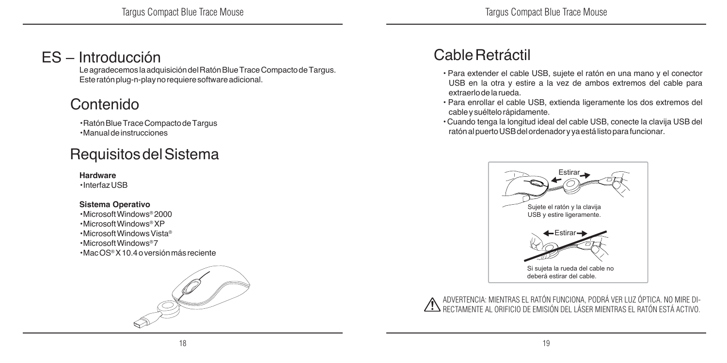### ES – Introducción

Le agradecemos la adquisición del Ratón Blue Trace Compacto de Targus. Este ratón plug-n-play no requiere software adicional.

### Contenido

• Ratón Blue Trace Compacto de Targus • Manual de instrucciones

### Requisitos del Sistema

#### **Hardware**

• Interfaz USB

#### **Sistema Operativo**

• Microsoft Windows® 2000 • Microsoft Windows® XP • Microsoft Windows Vista® • Microsoft Windows® 7 • Mac OS® X 10.4 o versión más reciente



### Cable Retráctil

- Para extender el cable USB, sujete el ratón en una mano y el conector USB en la otra y estire a la vez de ambos extremos del cable para extraerlo de la rueda.
- Para enrollar el cable USB, extienda ligeramente los dos extremos del cable y suéltelo rápidamente.
- Cuando tenga la longitud ideal del cable USB, conecte la clavija USB del ratón al puerto USB del ordenador y ya está listo para funcionar.



ADVERTENCIA: MIENTRAS EL RATÓN FUNCIONA, PODRÁ VER LUZ ÓPTICA. NO MIRE DI-RECTAMENTE AL ORIFICIO DE EMISIÓN DEL LÁSER MIENTRAS EL RATÓN ESTÁ ACTIVO.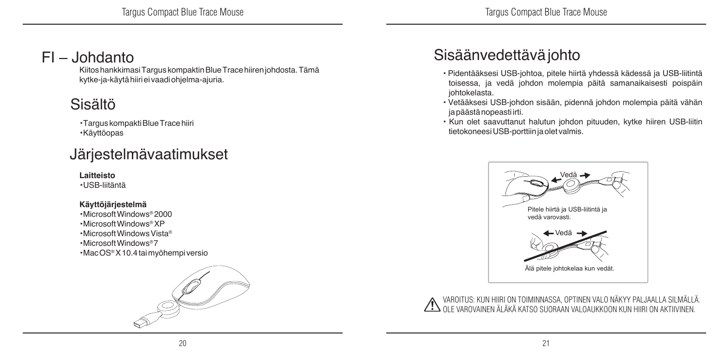### FI – Johdanto

Kiitos hankkimasi Targus kompaktin Blue Trace hiiren johdosta. Tämä kytke-ja-käytä hiiri ei vaadi ohjelma-ajuria.

### Sisältö

• Targus kompakti Blue Trace hiiri • Käyttöopas

### Järjestelmävaatimukset

#### **Laitteisto**

• USB-liitäntä

#### **Käyttöjärjestelmä**

• Microsoft Windows® 2000 • Microsoft Windows® XP • Microsoft Windows Vista® • Microsoft Windows® 7 • Mac OS® X 10.4 tai myöhempi versio



### Sisäänvedettävä johto

- Pidentääksesi USB-johtoa, pitele hiirtä yhdessä kädessä ja USB-liitintä toisessa, ja vedä johdon molempia päitä samanaikaisesti poispäin johtokelasta.
- Vetääksesi USB-johdon sisään, pidennä johdon molempia päitä vähän ja päästä nopeasti irti.
- Kun olet saavuttanut halutun johdon pituuden, kytke hiiren USB-liitin tietokoneesi USB-porttiin ja olet valmis.



VAROITUS: KUN HIIRI ON TOIMINNASSA, OPTINEN VALO NÄKYY PALJAALLA SILMÄLLÄ. OLE VAROVAINEN ÄLÄKÄ KATSO SUORAAN VALOAUKKOON KUN HIIRI ON AKTIIVINEN.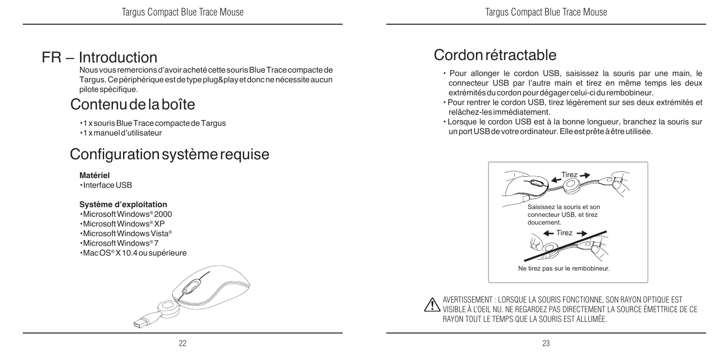### FR – Introduction

Nous vous remercions d'avoir acheté cette souris Blue Trace compacte de Targus. Ce périphérique est de type plug&play et donc ne nécessite aucun pilote spécifique.

### Contenu de la boîte

• 1xsouris Blue Trace compacte de Targus

• 1 x manuel d'utilisateur

### Configuration système requise

**Matériel** • Interface USB

#### **Système d'exploitation**

• Microsoft Windows® 2000 • Microsoft Windows® XP • Microsoft Windows Vista® • Microsoft Windows® 7 • Mac OS® X 10.4 ou supérieure



### Cordon rétractable

- Pour allonger le cordon USB, saisissez la souris par une main, le connecteur USB par l'autre main et tirez en même temps les deux extrémités du cordon pour dégager celui-ci du rembobineur.
- Pour rentrer le cordon USB, tirez légèrement sur ses deux extrémités et relâchez-les immédiatement.
- Lorsque le cordon USB est à la bonne longueur, branchez la souris sur un port USB de votre ordinateur. Elle est prête à être utilisée.



AVERTISSEMENT : LORSQUE LA SOURIS FONCTIONNE, SON RAYON OPTIQUE EST VISIBLE À L'OEIL NU. NE REGARDEZ PAS DIRECTEMENT LA SOURCE ÉMETTRICE DE CE RAYON TOUT LE TEMPS QUE LA SOURIS EST ALLUMÉE.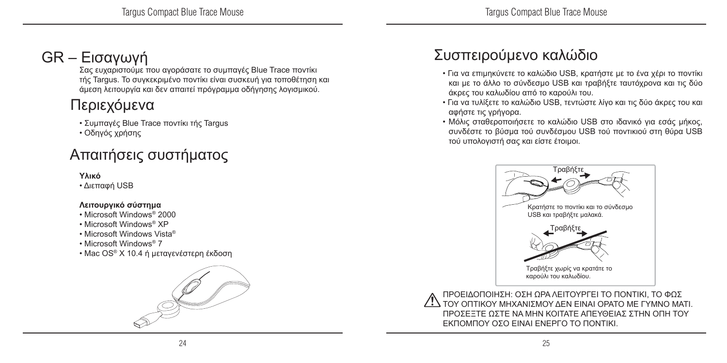### GR – Εισαγωγή

Σας ευχαριστούμε που αγοράσατε το συμπαγές Blue Trace ποντίκι τής Targus. Το συγκεκριμένο ποντίκι είναι συσκευή για τοποθέτηση και άμεση λειτουργία και δεν απαιτεί πρόγραμμα οδήγησης λογισμικού.

### Περιεχόμενα

• Συμπαγές Blue Trace ποντίκι τής Targus

• Οδηγός χρήσης

### Απαιτήσεις συστήματος

#### **Υλικό**

• Διεπαφή USB

#### **Λειτουργικό σύστημα**

- Microsoft Windows® 2000
- Microsoft Windows® XP
- Microsoft Windows Vista®
- Microsoft Windows® 7
- Mac OS® X 10.4 ή μεταγενέστερη έκδοση



### Συσπειρούμενο καλώδιο

- Για να επιμηκύνετε το καλώδιο USB, κρατήστε με το ένα χέρι το ποντίκι και με το άλλο το σύνδεσμο USB και τραβήξτε ταυτόχρονα και τις δύο άκρες του καλωδίου από το καρούλι του.
- Για να τυλίξετε το καλώδιο USB, τεντώστε λίγο και τις δύο άκρες του και αφήστε τις γρήγορα.
- Μόλις σταθεροποιήσετε το καλώδιο USB στο ιδανικό για εσάς μήκος, συνδέστε το βύσμα τού συνδέσμου USB τού ποντικιού στη θύρα USB τού υπολογιστή σας και είστε έτοιμοι.



ΠΡΟΕΙΔΟΠΟΙΗΣΗ: ΟΣΗ ΩΡΑ ΛΕΙΤΟΥΡΓΕΙ ΤΟ ΠΟΝΤΙΚΙ, ΤΟ ΦΩΣ ΤΟΥ ΟΠΤΙΚΟΥ ΜΗΧΑΝΙΣΜΟΥ ΔΕΝ ΕΙΝΑΙ ΟΡΑΤΟ ΜΕ ΓΥΜΝΟ ΜΑΤΙ. ΠΡΟΣΕΞΤΕ ΩΣΤΕ ΝΑ ΜΗΝ ΚΟΙΤΑΤΕ ΑΠΕΥΘΕΙΑΣ ΣΤΗΝ ΟΠΗ ΤΟΥ ΕΚΠΟΜΠΟΥ ΟΣΟ ΕΙΝΑΙ ΕΝΕΡΓΟ ΤΟ ΠΟΝΤΙΚΙ.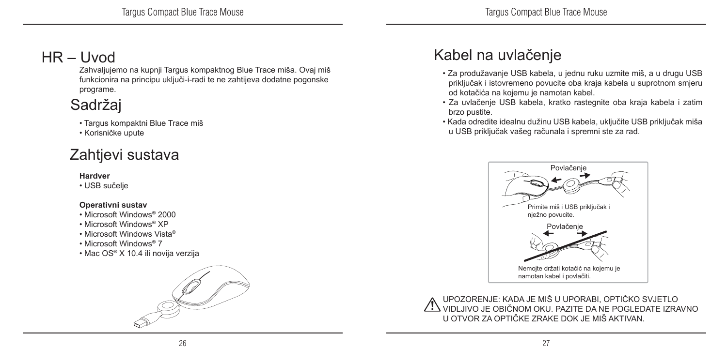### HR – Uvod

Zahvaljujemo na kupnji Targus kompaktnog Blue Trace miša. Ovaj miš funkcionira na principu uključi-i-radi te ne zahtijeva dodatne pogonske programe.

### Sadržaj

- Targus kompaktni Blue Trace miš
- Korisničke upute

### Zahtjevi sustava

#### **Hardver**

• USB sučelje

#### **Operativni sustav**

- Microsoft Windows® 2000
- Microsoft Windows® XP
- Microsoft Windows Vista®
- Microsoft Windows® 7
- Mac OS® X 10.4 ili novija verzija



### Kabel na uvlačenje

- Za produžavanje USB kabela, u jednu ruku uzmite miš, a u drugu USB priključak i istovremeno povucite oba kraja kabela u suprotnom smjeru od kotačića na kojemu je namotan kabel.
- Za uvlačenje USB kabela, kratko rastegnite oba kraja kabela i zatim brzo pustite.
- Kada odredite idealnu dužinu USB kabela, uključite USB priključak miša u USB priključak vašeg računala i spremni ste za rad.



UPOZORENJE: KADA JE MIŠ U UPORABI, OPTIČKO SVJETLO VIDLJIVO JE OBIČNOM OKU. PAZITE DA NE POGLEDATE IZRAVNO U OTVOR ZA OPTIČKE ZRAKE DOK JE MIŠ AKTIVAN.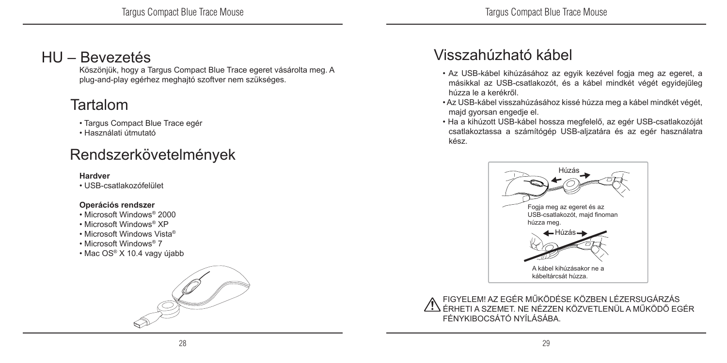### HU – Bevezetés

Köszönjük, hogy a Targus Compact Blue Trace egeret vásárolta meg. A plug-and-play egérhez meghajtó szoftver nem szükséges.

### Tartalom

- Targus Compact Blue Trace egér
- Használati útmutató

### Rendszerkövetelmények

#### **Hardver**

• USB-csatlakozófelület

#### **Operációs rendszer**

- Microsoft Windows® 2000
- Microsoft Windows® XP
- Microsoft Windows Vista®
- Microsoft Windows® 7
- Mac OS® X 10.4 vagy újabb



### Visszahúzható kábel

- Az USB-kábel kihúzásához az egyik kezével fogja meg az egeret, a másikkal az USB-csatlakozót, és a kábel mindkét végét egyidejűleg húzza le a kerékről.
- Az USB-kábel visszahúzásához kissé húzza meg a kábel mindkét végét, majd gyorsan engedje el.
- Ha a kihúzott USB-kábel hossza megfelelő, az egér USB-csatlakozóját csatlakoztassa a számítógép USB-aljzatára és az egér használatra kész.



FIGYELEM! AZ EGÉR MŰKÖDÉSE KÖZBEN LÉZERSUGÁRZÁS ÉRHETI A SZEMET. NE NÉZZEN KÖZVETLENÜL A MŰKÖDŐ EGÉR FÉNYKIBOCSÁTÓ NYÍLÁSÁBA.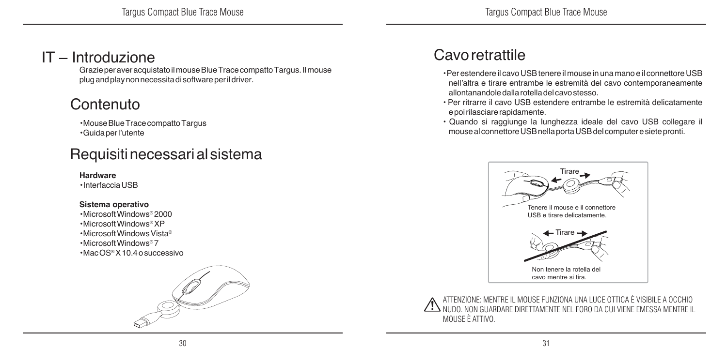### IT – Introduzione

Grazie per aver acquistato il mouse Blue Trace compatto Targus. Il mouse plug and play non necessita di software per il driver.

### Contenuto

• Mouse Blue Trace compatto Targus • Guida per l'utente

### Requisiti necessari al sistema

#### **Hardware**

• Interfaccia USB

#### **Sistema operativo**

• Microsoft Windows® 2000 • Microsoft Windows® XP • Microsoft Windows Vista® • Microsoft Windows® 7 • Mac OS® X 10.4 o successivo



### Cavo retrattile

- Per estendere il cavo USB tenere il mouse in una mano e il connettore USB nell'altra e tirare entrambe le estremità del cavo contemporaneamente allontanandole dalla rotella del cavo stesso.
- Per ritrarre il cavo USB estendere entrambe le estremità delicatamente e poi rilasciare rapidamente.
- Quando si raggiunge la lunghezza ideale del cavo USB collegare il mouse al connettore USB nella porta USB del computer e siete pronti.



ATTENZIONE: MENTRE IL MOUSE FUNZIONA UNA LUCE OTTICA È VISIBILE A OCCHIO NUDO. NON GUARDARE DIRETTAMENTE NEL FORO DA CUI VIENE EMESSA MENTRE IL MOUSE È ATTIVO.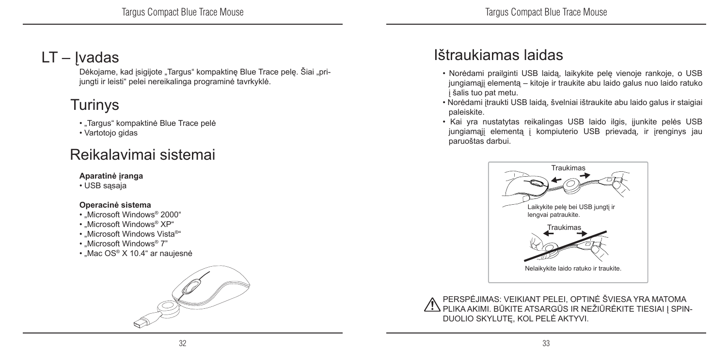### LT – Ivadas

Dėkojame, kad įsigijote "Targus" kompaktinę Blue Trace pelę. Šiai "prijungti ir leisti" pelei nereikalinga programinė tavrkyklė.

### Turinys

- "Targus" kompaktinė Blue Trace pelė
- Vartotojo gidas

### Reikalavimai sistemai

#### **Aparatinė įranga**

• USB sasaja

#### **Operacinė sistema**

- "Microsoft Windows® 2000"
- .Microsoft Windows<sup>®</sup> XP"
- "Microsoft Windows Vista®"
- .Microsoft Windows<sup>®</sup> 7"
- "Mac OS® X 10.4" ar naujesnė



### Ištraukiamas laidas

- Norėdami prailginti USB laidą, laikykite pelę vienoje rankoje, o USB jungiamąjį elementą – kitoje ir traukite abu laido galus nuo laido ratuko į šalis tuo pat metu.
- Norėdami įtraukti USB laidą, švelniai ištraukite abu laido galus ir staigiai paleiskite.
- Kai yra nustatytas reikalingas USB laido ilgis, įjunkite pelės USB jungiamąjį elementą į kompiuterio USB prievadą, ir įrenginys jau paruoštas darbui.



PERSPĖJIMAS: VEIKIANT PELEI, OPTINĖ ŠVIESA YRA MATOMA PLIKA AKIMI. BŪKITE ATSARGŪS IR NEŽIŪRĖKITE TIESIAI Į SPIN-DUOLIO SKYLUTĘ, KOL PELĖ AKTYVI.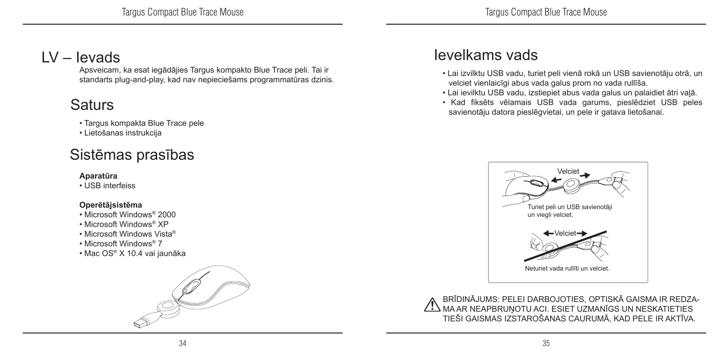### LV – Ievads

Apsveicam, ka esat iegādājies Targus kompakto Blue Trace peli. Tai ir standarts plug-and-play, kad nav nepieciešams programmatūras dzinis.

### **Saturs**

#### • Targus kompakta Blue Trace pele

• Lietošanas instrukcija

### Sistēmas prasības

#### **Aparatūra**

• USB interfeiss

#### **Operētājsistēma**

- Microsoft Windows® 2000
- Microsoft Windows® XP
- Microsoft Windows Vista®
- Microsoft Windows® 7
- Mac OS® X 10.4 vai jaunāka



### Ievelkams vads

- Lai izvilktu USB vadu, turiet peli vienā rokā un USB savienotāju otrā, un velciet vienlaicīgi abus vada galus prom no vada rullīša.
- Lai ievilktu USB vadu, izstiepiet abus vada galus un palaidiet ātri vaļā.
- Kad fiksēts vēlamais USB vada garums, pieslēdziet USB peles savienotāju datora pieslēgvietai, un pele ir gatava lietošanai.



BRĪDINĀJUMS: PELEI DARBOJOTIES, OPTISKĀ GAISMA IR REDZA-AN AR NEAPBRUŅOTU ACI. ESIET UZMANĪGS UN NESKATIETIES TIEŠI GAISMAS IZSTAROŠANAS CAURUMĀ, KAD PELE IR AKTĪVA.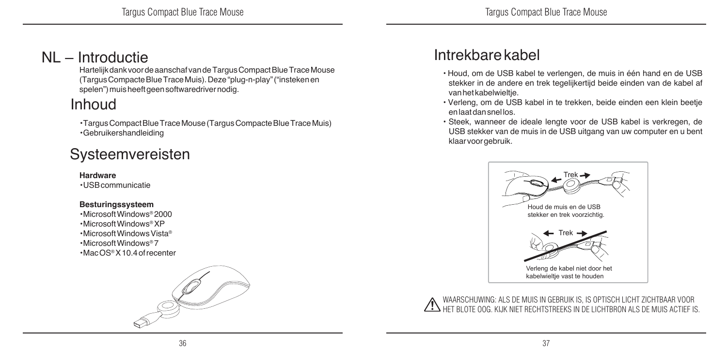### NL – Introductie

Hartelijk dank voor de aanschaf van de Targus Compact Blue Trace Mouse (Targus Compacte Blue Trace Muis). Deze "plug-n-play" ("insteken en spelen") muis heeft geen softwaredriver nodig.

### Inhoud

• Targus Compact Blue Trace Mouse (Targus Compacte Blue Trace Muis) • Gebruikershandleiding

### Systeemvereisten

#### **Hardware**

• USB communicatie

#### **Besturingssysteem**

• Microsoft Windows® 2000 • Microsoft Windows® XP • Microsoft Windows Vista® • Microsoft Windows® 7 • Mac OS® X 10.4 of recenter



### Intrekbare kabel

- Houd, om de USB kabel te verlengen, de muis in één hand en de USB stekker in de andere en trek tegelijkertijd beide einden van de kabel af van het kabelwieltje.
- Verleng, om de USB kabel in te trekken, beide einden een klein beetje en laat dan snel los.
- Steek, wanneer de ideale lengte voor de USB kabel is verkregen, de USB stekker van de muis in de USB uitgang van uw computer en u bent klaar voor gebruik.



WAARSCHUWING: ALS DE MUIS IN GEBRUIK IS, IS OPTISCH LICHT ZICHTBAAR VOOR HET BLOTE OOG. KIJK NIET RECHTSTREEKS IN DE LICHTBRON ALS DE MUIS ACTIEF IS.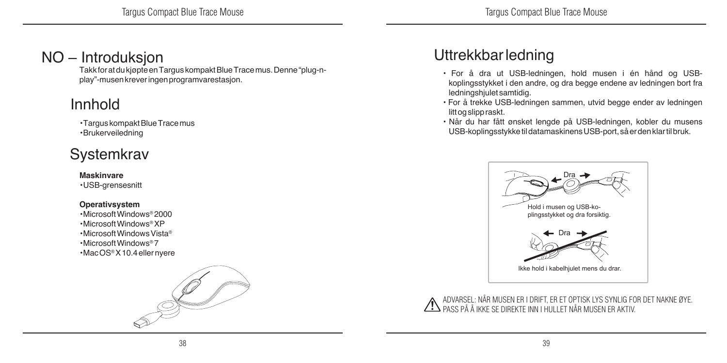### NO – Introduksjon

Takk for at du kjøpte en Targus kompakt Blue Trace mus. Denne "plug-nplay"-musen krever ingen programvarestasjon.

### Innhold

• Targus kompakt Blue Trace mus • Brukerveiledning

### **Systemkrav**

#### **Maskinvare**

• USB-grensesnitt

#### **Operativsystem**

• Microsoft Windows® 2000 • Microsoft Windows® XP • Microsoft Windows Vista® • Microsoft Windows® 7 • Mac OS® X 10.4 eller nyere



### Uttrekkbar ledning

- For å dra ut USB-ledningen, hold musen i én hånd og USBkoplingsstykket i den andre, og dra begge endene av ledningen bort fra ledningshjulet samtidig.
- For å trekke USB-ledningen sammen, utvid begge ender av ledningen litt og slipp raskt.
- Når du har fått ønsket lengde på USB-ledningen, kobler du musens USB-koplingsstykke til datamaskinens USB-port, så er den klar til bruk.



ADVARSEL: NÅR MUSEN ER I DRIFT, ER ET OPTISK LYS SYNLIG FOR DET NAKNE ØYE. PASS PÅ Å IKKE SE DIREKTE INN I HULLET NÅR MUSEN ER AKTIV.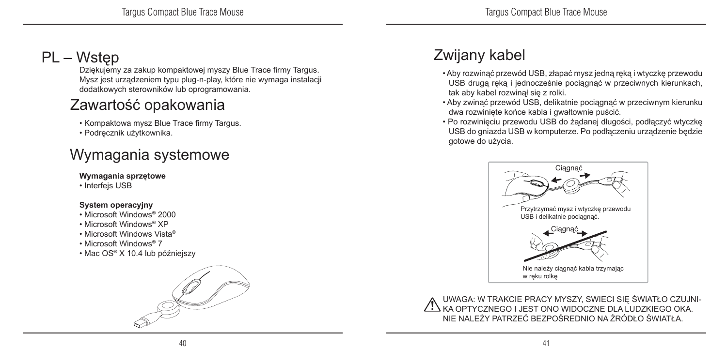### PL – Wstęp

Dziękujemy za zakup kompaktowej myszy Blue Trace firmy Targus. Mysz jest urządzeniem typu plug-n-play, które nie wymaga instalacji dodatkowych sterowników lub oprogramowania.

### Zawartość opakowania

• Kompaktowa mysz Blue Trace firmy Targus.

• Podręcznik użytkownika.

### Wymagania systemowe

#### **Wymagania sprzętowe**

• Interfejs USB

#### **System operacyjny**

- Microsoft Windows® 2000
- Microsoft Windows® XP
- Microsoft Windows Vista®
- Microsoft Windows® 7
- Mac OS® X 10.4 lub późniejszy



### Zwijany kabel

- Aby rozwinąć przewód USB, złapać mysz jedną ręką i wtyczkę przewodu USB drugą ręką i jednocześnie pociągnąć w przeciwnych kierunkach, tak aby kabel rozwinął się z rolki.
- Aby zwinąć przewód USB, delikatnie pociągnąć w przeciwnym kierunku dwa rozwinięte końce kabla i gwałtownie puścić.
- Po rozwinięciu przewodu USB do żądanej długości, podłączyć wtyczkę USB do gniazda USB w komputerze. Po podłączeniu urządzenie będzie gotowe do użycia.



UWAGA: W TRAKCIE PRACY MYSZY, SWIECI SIĘ ŚWIATŁO CZUJNI-KA OPTYCZNEGO I JEST ONO WIDOCZNE DLA LUDZKIEGO OKA. NIE NALEŻY PATRZEĆ BEZPOŚREDNIO NA ŹRÓDŁO ŚWIATŁA.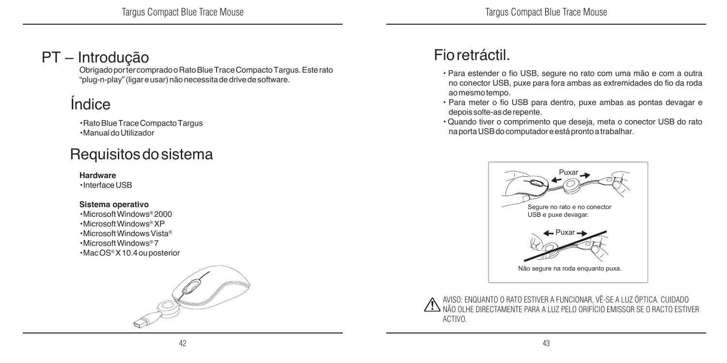### PT – Introdução

Obrigado por ter comprado o Rato Blue Trace Compacto Targus. Este rato "plug-n-play" (ligar e usar) não necessita de drive de software.

### Índice

• Rato Blue Trace Compacto Targus • Manual do Utilizador

### Requisitos do sistema

#### **Hardware**

• Interface USB

#### **Sistema operativo**

• Microsoft Windows® 2000 • Microsoft Windows® XP • Microsoft Windows Vista® • Microsoft Windows® 7 • Mac OS® X 10.4 ou posterior



### Fio retráctil.

- Para estender o fio USB, segure no rato com uma mão e com a outra no conector USB, puxe para fora ambas as extremidades do fio da roda ao mesmo tempo.
- Para meter o fio USB para dentro, puxe ambas as pontas devagar e depois solte-as de repente.
- Quando tiver o comprimento que deseja, meta o conector USB do rato na porta USB do computador e está pronto a trabalhar.



AVISO: ENQUANTO O RATO ESTIVER A FUNCIONAR, VÊ-SE A LUZ ÓPTICA. CUIDADO NÃO OLHE DIRECTAMENTE PARA A LUZ PELO ORIFÍCIO EMISSOR SE O RACTO ESTIVER ACTIVO.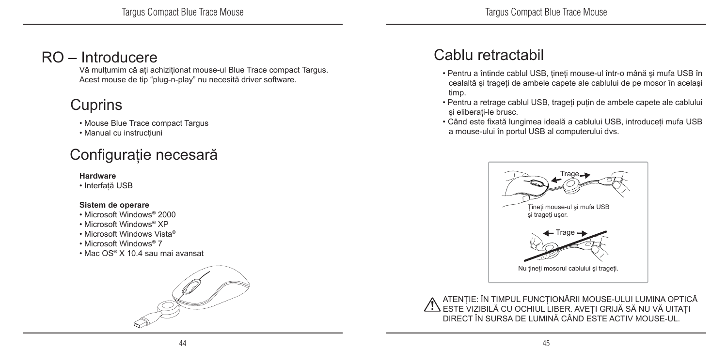### RO – Introducere

Vă mulţumim că aţi achiziţionat mouse-ul Blue Trace compact Targus. Acest mouse de tip "plug-n-play" nu necesită driver software.

### **Cuprins**

• Mouse Blue Trace compact Targus

• Manual cu instructiuni

### Configuraţie necesară

#### **Hardware**

• Interfată USB

#### **Sistem de operare**

- Microsoft Windows® 2000
- Microsoft Windows® XP
- Microsoft Windows Vista®
- Microsoft Windows® 7
- Mac OS® X 10.4 sau mai avansat



### Cablu retractabil

- Pentru a întinde cablul USB, ţineţi mouse-ul într-o mână şi mufa USB în cealaltă şi trageţi de ambele capete ale cablului de pe mosor în acelaşi timp.
- Pentru a retrage cablul USB, trageţi puţin de ambele capete ale cablului si eliberati-le brusc.
- Când este fixată lungimea ideală a cablului USB, introduceţi mufa USB a mouse-ului în portul USB al computerului dvs.



ATENŢIE: ÎN TIMPUL FUNCŢIONĂRII MOUSE-ULUI LUMINA OPTICĂ ESTE VIZIBILĂ CU OCHIUL LIBER. AVEŢI GRIJĂ SĂ NU VĂ UITAŢI DIRECT ÎN SURSA DE LUMINĂ CÂND ESTE ACTIV MOUSE-UL.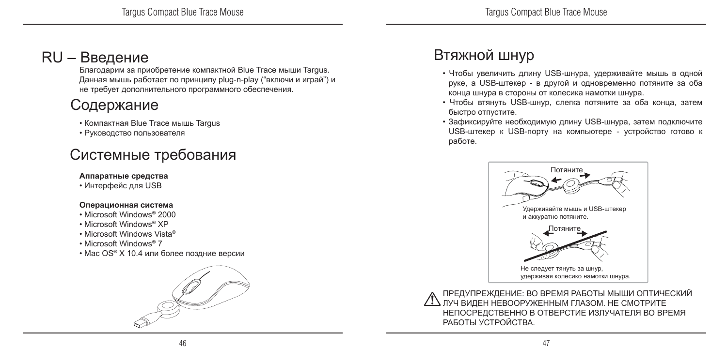### RU – Введение

Благодарим за приобретение компактной Blue Trace мыши Targus. Данная мышь работает по принципу plug-n-play ("включи и играй") и не требует дополнительного программного обеспечения.

### Содержание

- Компактная Blue Trace мышь Targus
- Руководство пользователя

### Системные требования

#### **Аппаратные средства**

• Интерфейс для USB

#### **Операционная система**

- Microsoft Windows® 2000
- Microsoft Windows® XP
- Microsoft Windows Vista®
- Microsoft Windows® 7
- Mac OS® X 10.4 или более поздние версии



### Втяжной шнур

- Чтобы увеличить длину USB-шнура, удерживайте мышь в одной руке, а USB-штекер - в другой и одновременно потяните за оба конца шнура в стороны от колесика намотки шнура.
- Чтобы втянуть USB-шнур, слегка потяните за оба конца, затем быстро отпустите.
- Зафиксируйте необходимую длину USB-шнура, затем подключите USB-штекер к USB-порту на компьютере - устройство готово к работе.



ПРЕДУПРЕЖДЕНИЕ: ВО ВРЕМЯ РАБОТЫ МЫШИ ОПТИЧЕСКИЙ ЛУЧ ВИДЕН НЕВООРУЖЕННЫМ ГЛАЗОМ. НЕ СМОТРИТЕ НЕПОСРЕДСТВЕННО В ОТВЕРСТИЕ ИЗЛУЧАТЕЛЯ ВО ВРЕМЯ РАБОТЫ УСТРОЙСТВА.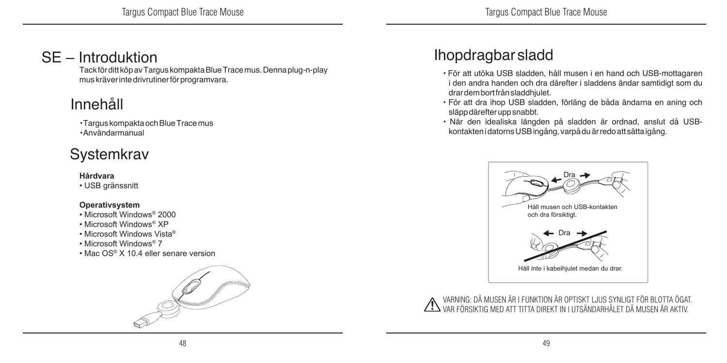### SE – Introduktion

Tack för ditt köp av Targus kompakta Blue Trace mus. Denna plug-n-play mus kräver inte drivrutiner för programvara.

### Innehåll

• Targus kompakta och Blue Trace mus • Användarmanual

### **Systemkrav**

#### **Hårdvara**

• USB gränssnitt

#### **Operativsystem**

- Microsoft Windows® 2000
- Microsoft Windows® XP
- Microsoft Windows Vista®
- Microsoft Windows® 7
- Mac OS® X 10.4 eller senare version



### Ihopdragbar sladd

- För att utöka USB sladden, håll musen i en hand och USB-mottagaren i den andra handen och dra därefter i sladdens ändar samtidigt som du drar dem bort från sladdhjulet.
- För att dra ihop USB sladden, förläng de båda ändarna en aning och släpp därefter upp snabbt.
- När den idealiska längden på sladden är ordnad, anslut då USBkontakten i datorns USB ingång, varpå du är redo att sätta igång.



VARNING: DÅ MUSEN ÄR I FUNKTION ÄR OPTISKT LJUS SYNLIGT FÖR BLOTTA ÖGAT. VAR FÖRSIKTIG MED ATT TITTA DIREKT IN I UTSÄNDARHÅLET DÅ MUSEN ÄR AKTIV.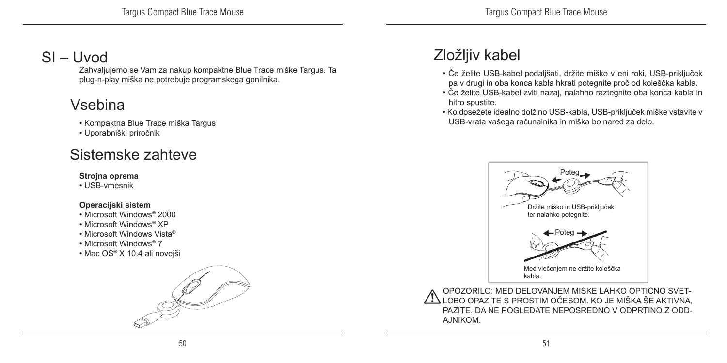### SI – Uvod

Zahvaljujemo se Vam za nakup kompaktne Blue Trace miške Targus. Ta plug-n-play miška ne potrebuje programskega gonilnika.

### Vsebina

- Kompaktna Blue Trace miška Targus
- Uporabniški priročnik

### Sistemske zahteve

#### **Strojna oprema**

• USB-vmesnik

#### **Operacijski sistem**

- Microsoft Windows® 2000
- Microsoft Windows® XP
- Microsoft Windows Vista®
- Microsoft Windows® 7
- Mac OS® X 10.4 ali novejši



### Zložljiv kabel

- Če želite USB-kabel podaljšati, držite miško v eni roki, USB-priključek pa v drugi in oba konca kabla hkrati potegnite proč od koleščka kabla.
- Če želite USB-kabel zviti nazaj, nalahno raztegnite oba konca kabla in hitro spustite.
- Ko dosežete idealno dolžino USB-kabla, USB-priključek miške vstavite v USB-vrata vašega računalnika in miška bo nared za delo.



OPOZORILO: MED DELOVANJEM MIŠKE LAHKO OPTIČNO SVET-LESTIM OČESOM. KO JE MIŠKA ŠE AKTIVNA, PAZITE, DA NE POGLEDATE NEPOSREDNO V ODPRTINO Z ODD-AJNIKOM.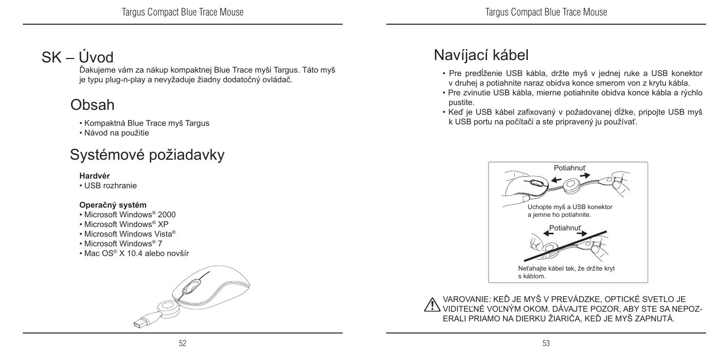### SK – Úvod

Ďakujeme vám za nákup kompaktnej Blue Trace myši Targus. Táto myš je typu plug-n-play a nevyžaduje žiadny dodatočný ovládač.

### Obsah

- Kompaktná Blue Trace myš Targus
- Návod na použitie

### Systémové požiadavky

#### **Hardvér**

• USB rozhranie

#### **Operačný systém**

- Microsoft Windows® 2000
- Microsoft Windows® XP
- Microsoft Windows Vista®
- Microsoft Windows® 7
- Mac OS® X 10.4 alebo novšír



### Navíjací kábel

- Pre predĺženie USB kábla, držte myš v jednej ruke a USB konektor v druhej a potiahnite naraz obidva konce smerom von z krytu kábla.
- Pre zvinutie USB kábla, mierne potiahnite obidva konce kábla a rýchlo pustite.
- Keď je USB kábel zafixovaný v požadovanej dĺžke, pripojte USB myš k USB portu na počítači a ste pripravený ju používať.



VAROVANIE: KEĎ JE MYŠ V PREVÁDZKE, OPTICKÉ SVETLO JE  $\cancel{\ell!}$  viditeľné voľným okom. Dávajte pozor, aby ste sa nepoz-ERALI PRIAMO NA DIERKU ŽIARIČA, KEĎ JE MYŠ ZAPNUTÁ.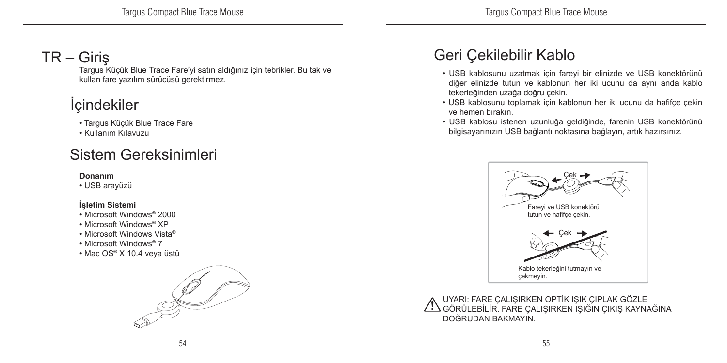### TR – Giriş

Targus Küçük Blue Trace Fare'yi satın aldığınız için tebrikler. Bu tak ve kullan fare yazılım sürücüsü gerektirmez.

### **İ**cindekiler

- Targus Küçük Blue Trace Fare
- Kullanım Kılavuzu

### Sistem Gereksinimleri

#### **Donanım**

• USB arayüzü

#### **İşletim Sistemi**

- Microsoft Windows® 2000
- Microsoft Windows® XP
- Microsoft Windows Vista®
- Microsoft Windows® 7
- Mac OS® X 10.4 veya üstü



### Geri Çekilebilir Kablo

- USB kablosunu uzatmak için fareyi bir elinizde ve USB konektörünü diğer elinizde tutun ve kablonun her iki ucunu da aynı anda kablo tekerleğinden uzağa doğru çekin.
- USB kablosunu toplamak için kablonun her iki ucunu da hafifçe çekin ve hemen bırakın.
- USB kablosu istenen uzunluğa geldiğinde, farenin USB konektörünü bilgisayarınızın USB bağlantı noktasına bağlayın, artık hazırsınız.



UYARI: FARE ÇALIŞIRKEN OPTİK IŞIK ÇIPLAK GÖZLE GÖRÜLEBİLİR. FARE ÇALIŞIRKEN IŞIĞIN ÇIKIŞ KAYNAĞINA DOĞRUDAN BAKMAYIN.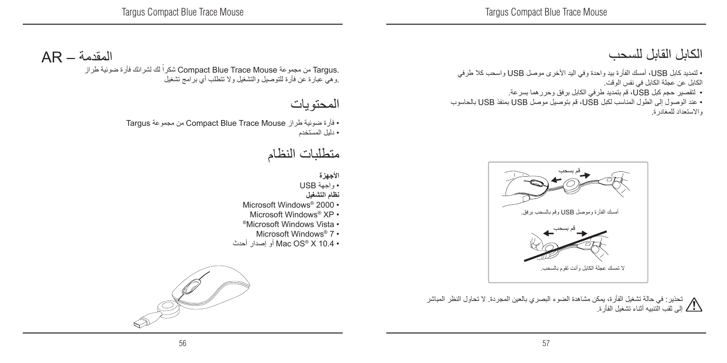### الكابل القابل للسحب

• لتمديد كابل USB، أمسك الفأرة بيد واحدة وفي اليد األخرى موصل USB واسحب كال طرفي الكابل عن عجلة الكابل في نفس الوقت.

- لتقصير حجم كبل USB، قم بتمديد طرفي الكابل برفق وحررهما بسرعة.
- عند الوصول إلى الطول المناسب لكبل USB، قم بتوصيل موصل USB بمنفذ USB بالحاسوب واالستعداد للمغادرة.



تحذير: في حالة تشغيل الفأرة، يمكن مشاهدة الضوء البصري بالعين المجردة. ال تحاول النظر المباشر إلى ثقب التنبيه أثناء تشغيل الفأرة.

### المقدمة – AR

ً لك لشرائك فأرة ضوئية طراز شكرا Compact Blue Trace Mouse مجموعة من Targus. .وهي عبارة عن فأرة للتوصيل والتشغيل وال تتطلب أي برامج تشغيل

### المحتويات

• فأرة ضوئية طراز Mouse Trace Blue Compact من مجموعة Targus • دليل المستخدم

### متطلبات النظام

**األجهزة** • واجهة USB **نظام التشغيل** Microsoft Windows<sup>®</sup> 2000 • Microsoft Windows® XP • ®Microsoft Windows Vista • Microsoft Windows® 7 • • 10.4 X® OS Mac أو إصدار أحدث

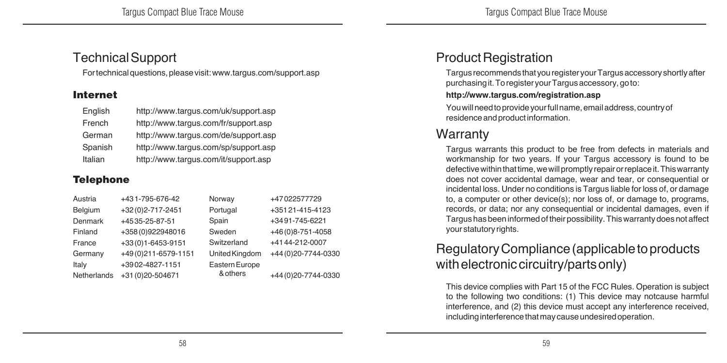#### Technical Support

For technical questions, please visit: www.targus.com/support.asp

#### Internet

| English | http://www.tarqus.com/uk/support.asp |
|---------|--------------------------------------|
| French  | http://www.tarqus.com/fr/support.asp |
| German  | http://www.tarqus.com/de/support.asp |
| Spanish | http://www.targus.com/sp/support.asp |
| Italian | http://www.targus.com/it/support.asp |

#### **Telephone**

| Austria            | +431-795-676-42       | Norway         | +47022577729         |
|--------------------|-----------------------|----------------|----------------------|
| Belgium            | +32 (0) 2-717-2451    | Portugal       | +351 21-415-4123     |
| Denmark            | +4535-25-87-51        | Spain          | +3491-745-6221       |
| Finland            | +358 (0)922948016     | Sweden         | +46(0)8-751-4058     |
| France             | +33(0)1-6453-9151     | Switzerland    | +4144-212-0007       |
| Germany            | +49 (0) 211-6579-1151 | United Kingdom | +44(0)20-7744-0330   |
| Italy              | +3902-4827-1151       | Eastern Europe |                      |
| <b>Netherlands</b> | +31 (0) 20-504671     | & others       | +44 (0) 20-7744-0330 |

### Product Registration

Targus recommends that you register your Targus accessory shortly after purchasing it. To register your Targus accessory, go to:

#### **http://www.targus.com/registration.asp**

You will need to provide your full name, email address, country of residence and product information.

#### Warranty

Targus warrants this product to be free from defects in materials and workmanship for two years. If your Targus accessory is found to be defective within that time, we will promptly repair or replace it. This warranty does not cover accidental damage, wear and tear, or consequential or incidental loss. Under no conditions is Targus liable for loss of, or damage to, a computer or other device(s); nor loss of, or damage to, programs, records, or data; nor any consequential or incidental damages, even if Targus has been informed of their possibility. This warranty does not affect your statutory rights.

### Regulatory Compliance (applicable to products with electronic circuitry/parts only)

This device complies with Part 15 of the FCC Rules. Operation is subject to the following two conditions: (1) This device may notcause harmful interference, and (2) this device must accept any interference received, including interference that may cause undesired operation.